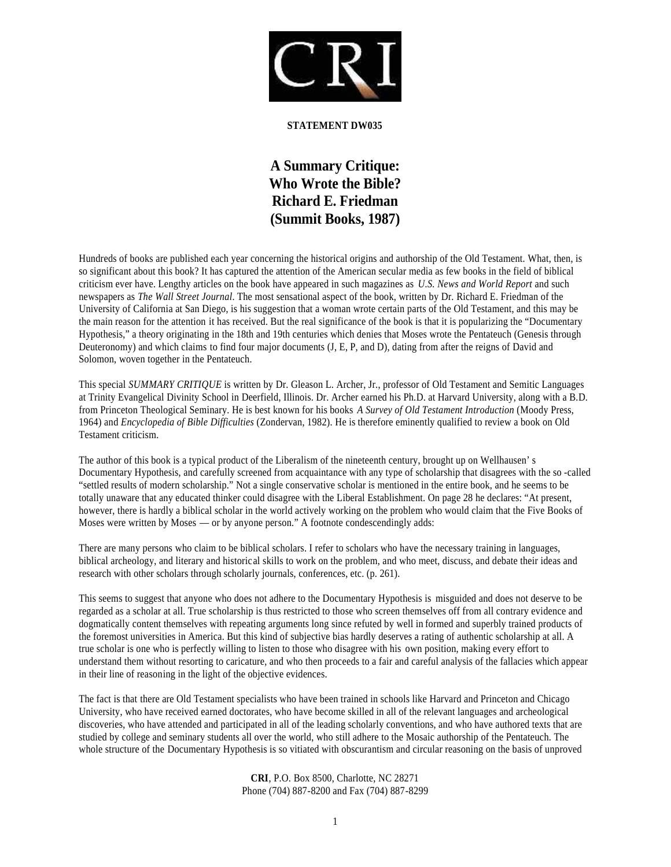

## **STATEMENT DW035**

**A Summary Critique: Who Wrote the Bible? Richard E. Friedman (Summit Books, 1987)**

Hundreds of books are published each year concerning the historical origins and authorship of the Old Testament. What, then, is so significant about this book? It has captured the attention of the American secular media as few books in the field of biblical criticism ever have. Lengthy articles on the book have appeared in such magazines as *U.S. News and World Report* and such newspapers as *The Wall Street Journal*. The most sensational aspect of the book, written by Dr. Richard E. Friedman of the University of California at San Diego, is his suggestion that a woman wrote certain parts of the Old Testament, and this may be the main reason for the attention it has received. But the real significance of the book is that it is popularizing the "Documentary Hypothesis," a theory originating in the 18th and 19th centuries which denies that Moses wrote the Pentateuch (Genesis through Deuteronomy) and which claims to find four major documents (J, E, P, and D), dating from after the reigns of David and Solomon, woven together in the Pentateuch.

This special *SUMMARY CRITIQUE* is written by Dr. Gleason L. Archer, Jr., professor of Old Testament and Semitic Languages at Trinity Evangelical Divinity School in Deerfield, Illinois. Dr. Archer earned his Ph.D. at Harvard University, along with a B.D. from Princeton Theological Seminary. He is best known for his books *A Survey of Old Testament Introduction* (Moody Press, 1964) and *Encyclopedia of Bible Difficulties* (Zondervan, 1982). He is therefore eminently qualified to review a book on Old Testament criticism.

The author of this book is a typical product of the Liberalism of the nineteenth century, brought up on Wellhausen' s Documentary Hypothesis, and carefully screened from acquaintance with any type of scholarship that disagrees with the so -called "settled results of modern scholarship." Not a single conservative scholar is mentioned in the entire book, and he seems to be totally unaware that any educated thinker could disagree with the Liberal Establishment. On page 28 he declares: "At present, however, there is hardly a biblical scholar in the world actively working on the problem who would claim that the Five Books of Moses were written by Moses — or by anyone person." A footnote condescendingly adds:

There are many persons who claim to be biblical scholars. I refer to scholars who have the necessary training in languages, biblical archeology, and literary and historical skills to work on the problem, and who meet, discuss, and debate their ideas and research with other scholars through scholarly journals, conferences, etc. (p. 261).

This seems to suggest that anyone who does not adhere to the Documentary Hypothesis is misguided and does not deserve to be regarded as a scholar at all. True scholarship is thus restricted to those who screen themselves off from all contrary evidence and dogmatically content themselves with repeating arguments long since refuted by well in formed and superbly trained products of the foremost universities in America. But this kind of subjective bias hardly deserves a rating of authentic scholarship at all. A true scholar is one who is perfectly willing to listen to those who disagree with his own position, making every effort to understand them without resorting to caricature, and who then proceeds to a fair and careful analysis of the fallacies which appear in their line of reasoning in the light of the objective evidences.

The fact is that there are Old Testament specialists who have been trained in schools like Harvard and Princeton and Chicago University, who have received earned doctorates, who have become skilled in all of the relevant languages and archeological discoveries, who have attended and participated in all of the leading scholarly conventions, and who have authored texts that are studied by college and seminary students all over the world, who still adhere to the Mosaic authorship of the Pentateuch. The whole structure of the Documentary Hypothesis is so vitiated with obscurantism and circular reasoning on the basis of unproved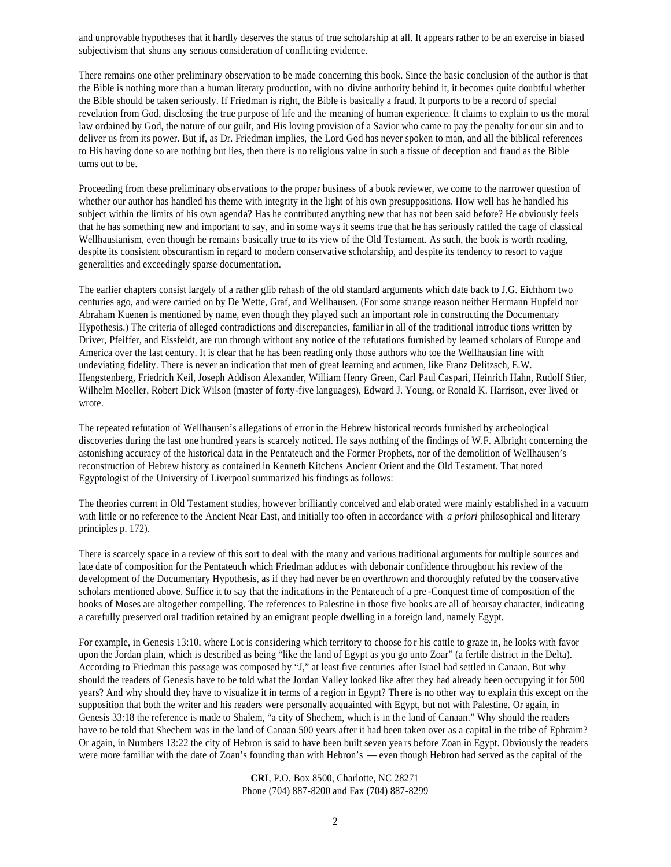and unprovable hypotheses that it hardly deserves the status of true scholarship at all. It appears rather to be an exercise in biased subjectivism that shuns any serious consideration of conflicting evidence.

There remains one other preliminary observation to be made concerning this book. Since the basic conclusion of the author is that the Bible is nothing more than a human literary production, with no divine authority behind it, it becomes quite doubtful whether the Bible should be taken seriously. If Friedman is right, the Bible is basically a fraud. It purports to be a record of special revelation from God, disclosing the true purpose of life and the meaning of human experience. It claims to explain to us the moral law ordained by God, the nature of our guilt, and His loving provision of a Savior who came to pay the penalty for our sin and to deliver us from its power. But if, as Dr. Friedman implies, the Lord God has never spoken to man, and all the biblical references to His having done so are nothing but lies, then there is no religious value in such a tissue of deception and fraud as the Bible turns out to be.

Proceeding from these preliminary observations to the proper business of a book reviewer, we come to the narrower question of whether our author has handled his theme with integrity in the light of his own presuppositions. How well has he handled his subject within the limits of his own agenda? Has he contributed anything new that has not been said before? He obviously feels that he has something new and important to say, and in some ways it seems true that he has seriously rattled the cage of classical Wellhausianism, even though he remains basically true to its view of the Old Testament. As such, the book is worth reading, despite its consistent obscurantism in regard to modern conservative scholarship, and despite its tendency to resort to vague generalities and exceedingly sparse documentation.

The earlier chapters consist largely of a rather glib rehash of the old standard arguments which date back to J.G. Eichhorn two centuries ago, and were carried on by De Wette, Graf, and Wellhausen. (For some strange reason neither Hermann Hupfeld nor Abraham Kuenen is mentioned by name, even though they played such an important role in constructing the Documentary Hypothesis.) The criteria of alleged contradictions and discrepancies, familiar in all of the traditional introduc tions written by Driver, Pfeiffer, and Eissfeldt, are run through without any notice of the refutations furnished by learned scholars of Europe and America over the last century. It is clear that he has been reading only those authors who toe the Wellhausian line with undeviating fidelity. There is never an indication that men of great learning and acumen, like Franz Delitzsch, E.W. Hengstenberg, Friedrich Keil, Joseph Addison Alexander, William Henry Green, Carl Paul Caspari, Heinrich Hahn, Rudolf Stier, Wilhelm Moeller, Robert Dick Wilson (master of forty-five languages), Edward J. Young, or Ronald K. Harrison, ever lived or wrote.

The repeated refutation of Wellhausen's allegations of error in the Hebrew historical records furnished by archeological discoveries during the last one hundred years is scarcely noticed. He says nothing of the findings of W.F. Albright concerning the astonishing accuracy of the historical data in the Pentateuch and the Former Prophets, nor of the demolition of Wellhausen's reconstruction of Hebrew history as contained in Kenneth Kitchens Ancient Orient and the Old Testament. That noted Egyptologist of the University of Liverpool summarized his findings as follows:

The theories current in Old Testament studies, however brilliantly conceived and elab orated were mainly established in a vacuum with little or no reference to the Ancient Near East, and initially too often in accordance with *a priori* philosophical and literary principles p. 172).

There is scarcely space in a review of this sort to deal with the many and various traditional arguments for multiple sources and late date of composition for the Pentateuch which Friedman adduces with debonair confidence throughout his review of the development of the Documentary Hypothesis, as if they had never be en overthrown and thoroughly refuted by the conservative scholars mentioned above. Suffice it to say that the indications in the Pentateuch of a pre -Conquest time of composition of the books of Moses are altogether compelling. The references to Palestine in those five books are all of hearsay character, indicating a carefully preserved oral tradition retained by an emigrant people dwelling in a foreign land, namely Egypt.

For example, in Genesis 13:10, where Lot is considering which territory to choose fo r his cattle to graze in, he looks with favor upon the Jordan plain, which is described as being "like the land of Egypt as you go unto Zoar" (a fertile district in the Delta). According to Friedman this passage was composed by "J," at least five centuries after Israel had settled in Canaan. But why should the readers of Genesis have to be told what the Jordan Valley looked like after they had already been occupying it for 500 years? And why should they have to visualize it in terms of a region in Egypt? Th ere is no other way to explain this except on the supposition that both the writer and his readers were personally acquainted with Egypt, but not with Palestine. Or again, in Genesis 33:18 the reference is made to Shalem, "a city of Shechem, which is in th e land of Canaan." Why should the readers have to be told that Shechem was in the land of Canaan 500 years after it had been taken over as a capital in the tribe of Ephraim? Or again, in Numbers 13:22 the city of Hebron is said to have been built seven yea rs before Zoan in Egypt. Obviously the readers were more familiar with the date of Zoan's founding than with Hebron's — even though Hebron had served as the capital of the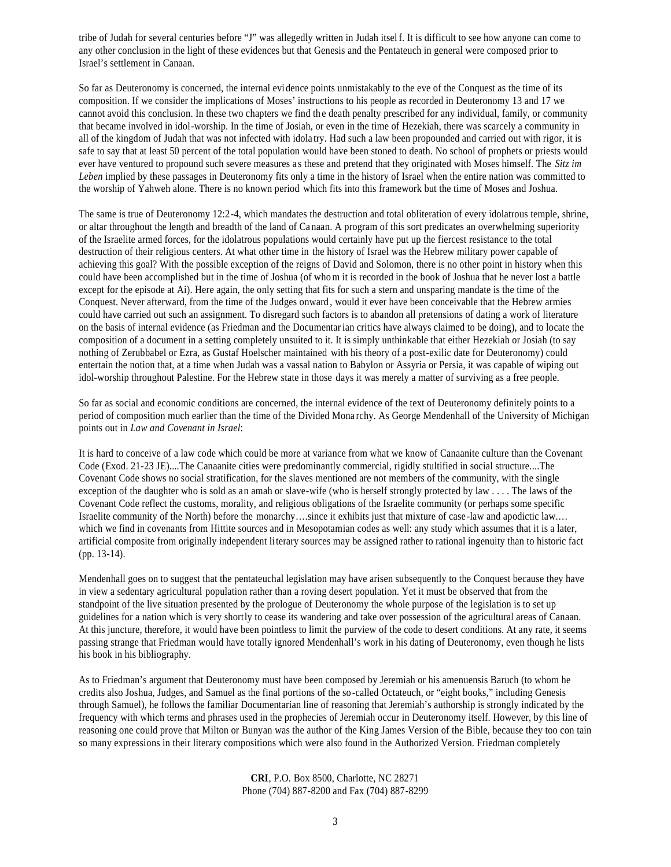tribe of Judah for several centuries before "J" was allegedly written in Judah itsel f. It is difficult to see how anyone can come to any other conclusion in the light of these evidences but that Genesis and the Pentateuch in general were composed prior to Israel's settlement in Canaan.

So far as Deuteronomy is concerned, the internal evi dence points unmistakably to the eve of the Conquest as the time of its composition. If we consider the implications of Moses' instructions to his people as recorded in Deuteronomy 13 and 17 we cannot avoid this conclusion. In these two chapters we find the death penalty prescribed for any individual, family, or community that became involved in idol-worship. In the time of Josiah, or even in the time of Hezekiah, there was scarcely a community in all of the kingdom of Judah that was not infected with idola try. Had such a law been propounded and carried out with rigor, it is safe to say that at least 50 percent of the total population would have been stoned to death. No school of prophets or priests would ever have ventured to propound such severe measures a s these and pretend that they originated with Moses himself. The *Sitz im Leben* implied by these passages in Deuteronomy fits only a time in the history of Israel when the entire nation was committed to the worship of Yahweh alone. There is no known period which fits into this framework but the time of Moses and Joshua.

The same is true of Deuteronomy 12:2-4, which mandates the destruction and total obliteration of every idolatrous temple, shrine, or altar throughout the length and breadth of the land of Ca naan. A program of this sort predicates an overwhelming superiority of the Israelite armed forces, for the idolatrous populations would certainly have put up the fiercest resistance to the total destruction of their religious centers. At what other time in the history of Israel was the Hebrew military power capable of achieving this goal? With the possible exception of the reigns of David and Solomon, there is no other point in history when this could have been accomplished but in the time of Joshua (of whom it is recorded in the book of Joshua that he never lost a battle except for the episode at Ai). Here again, the only setting that fits for such a stern and unsparing mandate is the time of the Conquest. Never afterward, from the time of the Judges onward , would it ever have been conceivable that the Hebrew armies could have carried out such an assignment. To disregard such factors is to abandon all pretensions of dating a work of literature on the basis of internal evidence (as Friedman and the Documentarian critics have always claimed to be doing), and to locate the composition of a document in a setting completely unsuited to it. It is simply unthinkable that either Hezekiah or Josiah (to say nothing of Zerubbabel or Ezra, as Gustaf Hoelscher maintained with his theory of a post-exilic date for Deuteronomy) could entertain the notion that, at a time when Judah was a vassal nation to Babylon or Assyria or Persia, it was capable of wiping out idol-worship throughout Palestine. For the Hebrew state in those days it was merely a matter of surviving as a free people.

So far as social and economic conditions are concerned, the internal evidence of the text of Deuteronomy definitely points to a period of composition much earlier than the time of the Divided Mona rchy. As George Mendenhall of the University of Michigan points out in *Law and Covenant in Israel*:

It is hard to conceive of a law code which could be more at variance from what we know of Canaanite culture than the Covenant Code (Exod. 21-23 JE)....The Canaanite cities were predominantly commercial, rigidly stultified in social structure....The Covenant Code shows no social stratification, for the slaves mentioned are not members of the community, with the single exception of the daughter who is sold as an amah or slave-wife (who is herself strongly protected by law . . . . The laws of the Covenant Code reflect the customs, morality, and religious obligations of the Israelite community (or perhaps some specific Israelite community of the North) before the monarchy….since it exhibits just that mixture of case -law and apodictic law.… which we find in covenants from Hittite sources and in Mesopotamian codes as well: any study which assumes that it is a later, artificial composite from originally independent literary sources may be assigned rather to rational ingenuity than to historic fact (pp. 13-14).

Mendenhall goes on to suggest that the pentateuchal legislation may have arisen subsequently to the Conquest because they have in view a sedentary agricultural population rather than a roving desert population. Yet it must be observed that from the standpoint of the live situation presented by the prologue of Deuteronomy the whole purpose of the legislation is to set up guidelines for a nation which is very shortly to cease its wandering and take over possession of the agricultural areas of Canaan. At this juncture, therefore, it would have been pointless to limit the purview of the code to desert conditions. At any rate, it seems passing strange that Friedman would have totally ignored Mendenhall's work in his dating of Deuteronomy, even though he lists his book in his bibliography.

As to Friedman's argument that Deuteronomy must have been composed by Jeremiah or his amenuensis Baruch (to whom he credits also Joshua, Judges, and Samuel as the final portions of the so-called Octateuch, or "eight books," including Genesis through Samuel), he follows the familiar Documentarian line of reasoning that Jeremiah's authorship is strongly indicated by the frequency with which terms and phrases used in the prophecies of Jeremiah occur in Deuteronomy itself. However, by this line of reasoning one could prove that Milton or Bunyan was the author of the King James Version of the Bible, because they too con tain so many expressions in their literary compositions which were also found in the Authorized Version. Friedman completely